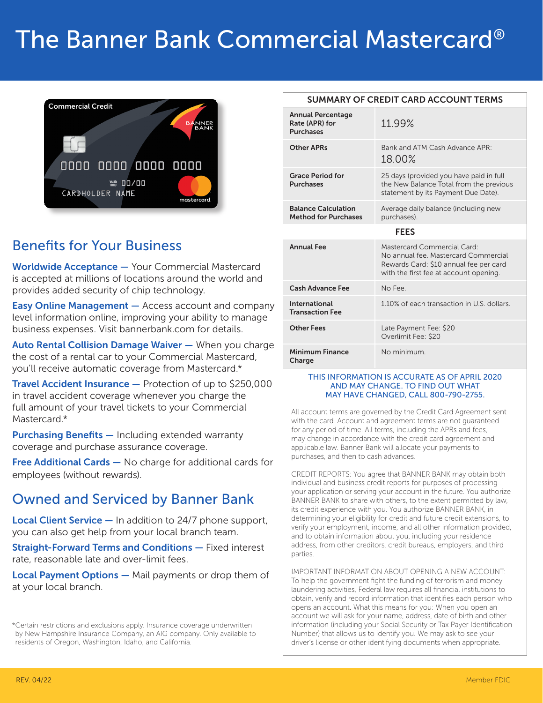# The Banner Bank Commercial Mastercard®



#### Benefits for Your Business

Worldwide Acceptance — Your Commercial Mastercard is accepted at millions of locations around the world and provides added security of chip technology.

Easy Online Management — Access account and company level information online, improving your ability to manage business expenses. Visit bannerbank.com for details.

Auto Rental Collision Damage Waiver - When you charge the cost of a rental car to your Commercial Mastercard, you'll receive automatic coverage from Mastercard.\*

Travel Accident Insurance — Protection of up to \$250,000 in travel accident coverage whenever you charge the full amount of your travel tickets to your Commercial Mastercard.\*

Purchasing Benefits - Including extended warranty coverage and purchase assurance coverage.

**Free Additional Cards** – No charge for additional cards for employees (without rewards).

#### Owned and Serviced by Banner Bank

**Local Client Service —** In addition to  $24/7$  phone support, you can also get help from your local branch team.

Straight-Forward Terms and Conditions — Fixed interest rate, reasonable late and over-limit fees.

Local Payment Options - Mail payments or drop them of at your local branch.

\*Certain restrictions and exclusions apply. Insurance coverage underwritten by New Hampshire Insurance Company, an AIG company. Only available to residents of Oregon, Washington, Idaho, and California.

#### SUMMARY OF CREDIT CARD ACCOUNT TERMS

| <b>Annual Percentage</b><br>Rate (APR) for<br><b>Purchases</b> | 11.99%                                                                                                                                                  |  |
|----------------------------------------------------------------|---------------------------------------------------------------------------------------------------------------------------------------------------------|--|
| <b>Other APRs</b>                                              | Bank and ATM Cash Advance APR:<br>18.00%                                                                                                                |  |
| <b>Grace Period for</b><br><b>Purchases</b>                    | 25 days (provided you have paid in full<br>the New Balance Total from the previous<br>statement by its Payment Due Date).                               |  |
| <b>Balance Calculation</b><br><b>Method for Purchases</b>      | Average daily balance (including new<br>purchases).                                                                                                     |  |
| <b>FEES</b>                                                    |                                                                                                                                                         |  |
| <b>Annual Fee</b>                                              | Mastercard Commercial Card:<br>No annual fee. Mastercard Commercial<br>Rewards Card: \$10 annual fee per card<br>with the first fee at account opening. |  |
| <b>Cash Advance Fee</b>                                        | No Fee                                                                                                                                                  |  |
| International<br><b>Transaction Fee</b>                        | 1.10% of each transaction in U.S. dollars.                                                                                                              |  |
| <b>Other Fees</b>                                              | Late Payment Fee: \$20<br>Overlimit Fee: \$20                                                                                                           |  |
| <b>Minimum Finance</b><br>Charge                               | No minimum.                                                                                                                                             |  |

#### THIS INFORMATION IS ACCURATE AS OF APRIL 2020 AND MAY CHANGE. TO FIND OUT WHAT MAY HAVE CHANGED, CALL 800-790-2755.

All account terms are governed by the Credit Card Agreement sent with the card. Account and agreement terms are not guaranteed for any period of time. All terms, including the APRs and fees, may change in accordance with the credit card agreement and applicable law. Banner Bank will allocate your payments to purchases, and then to cash advances.

CREDIT REPORTS: You agree that BANNER BANK may obtain both individual and business credit reports for purposes of processing your application or serving your account in the future. You authorize BANNER BANK to share with others, to the extent permitted by law, its credit experience with you. You authorize BANNER BANK, in determining your eligibility for credit and future credit extensions, to verify your employment, income, and all other information provided, and to obtain information about you, including your residence address, from other creditors, credit bureaus, employers, and third parties.

IMPORTANT INFORMATION ABOUT OPENING A NEW ACCOUNT: To help the government fight the funding of terrorism and money laundering activities, Federal law requires all financial institutions to obtain, verify and record information that identifies each person who opens an account. What this means for you: When you open an account we will ask for your name, address, date of birth and other information (including your Social Security or Tax Payer Identification Number) that allows us to identify you. We may ask to see your driver's license or other identifying documents when appropriate.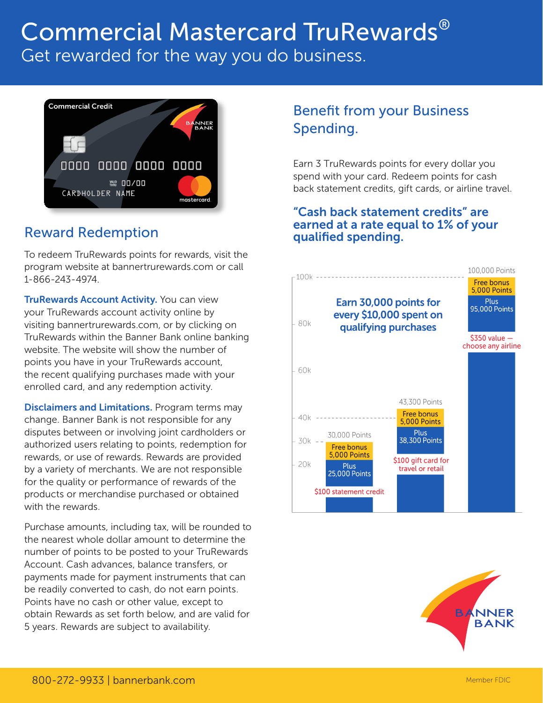## Commercial Mastercard TruRewards® Get rewarded for the way you do business.



#### Reward Redemption

To redeem TruRewards points for rewards, visit the program website at bannertrurewards.com or call 1-866-243-4974.

**TruRewards Account Activity. You can view** your TruRewards account activity online by visiting bannertrurewards.com, or by clicking on TruRewards within the Banner Bank online banking website. The website will show the number of points you have in your TruRewards account, the recent qualifying purchases made with your enrolled card, and any redemption activity.

Disclaimers and Limitations. Program terms may change. Banner Bank is not responsible for any disputes between or involving joint cardholders or authorized users relating to points, redemption for rewards, or use of rewards. Rewards are provided by a variety of merchants. We are not responsible for the quality or performance of rewards of the products or merchandise purchased or obtained with the rewards.

Purchase amounts, including tax, will be rounded to the nearest whole dollar amount to determine the number of points to be posted to your TruRewards Account. Cash advances, balance transfers, or payments made for payment instruments that can be readily converted to cash, do not earn points. Points have no cash or other value, except to obtain Rewards as set forth below, and are valid for 5 years. Rewards are subject to availability.

### Benefit from your Business Spending.

Earn 3 TruRewards points for every dollar you spend with your card. Redeem points for cash back statement credits, gift cards, or airline travel.

#### "Cash back statement credits" are earned at a rate equal to 1% of your qualified spending.



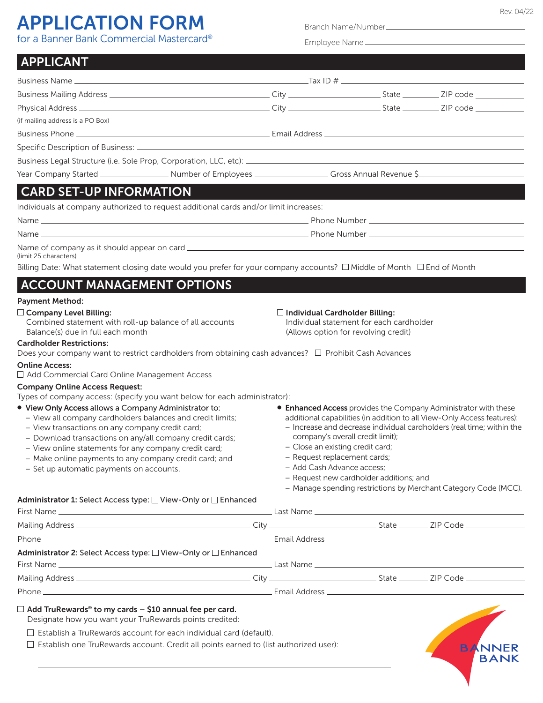# **APPLICATION FORM**

Branch Name/Number

| for a Banner Bank Commercial Mastercard <sup>®</sup>                                                                                                                                                                                                                                                                                                                                              |                                                                                                                                                                                                                                                                                                                                                                                                                                                                                |  |  |                              |
|---------------------------------------------------------------------------------------------------------------------------------------------------------------------------------------------------------------------------------------------------------------------------------------------------------------------------------------------------------------------------------------------------|--------------------------------------------------------------------------------------------------------------------------------------------------------------------------------------------------------------------------------------------------------------------------------------------------------------------------------------------------------------------------------------------------------------------------------------------------------------------------------|--|--|------------------------------|
| <b>APPLICANT</b><br>a de la construcción de la construcción de la construcción de la construcción de la construcción de la construcció                                                                                                                                                                                                                                                            |                                                                                                                                                                                                                                                                                                                                                                                                                                                                                |  |  |                              |
|                                                                                                                                                                                                                                                                                                                                                                                                   |                                                                                                                                                                                                                                                                                                                                                                                                                                                                                |  |  |                              |
|                                                                                                                                                                                                                                                                                                                                                                                                   |                                                                                                                                                                                                                                                                                                                                                                                                                                                                                |  |  |                              |
|                                                                                                                                                                                                                                                                                                                                                                                                   |                                                                                                                                                                                                                                                                                                                                                                                                                                                                                |  |  |                              |
| (if mailing address is a PO Box)                                                                                                                                                                                                                                                                                                                                                                  |                                                                                                                                                                                                                                                                                                                                                                                                                                                                                |  |  |                              |
|                                                                                                                                                                                                                                                                                                                                                                                                   |                                                                                                                                                                                                                                                                                                                                                                                                                                                                                |  |  |                              |
|                                                                                                                                                                                                                                                                                                                                                                                                   |                                                                                                                                                                                                                                                                                                                                                                                                                                                                                |  |  |                              |
|                                                                                                                                                                                                                                                                                                                                                                                                   |                                                                                                                                                                                                                                                                                                                                                                                                                                                                                |  |  |                              |
|                                                                                                                                                                                                                                                                                                                                                                                                   |                                                                                                                                                                                                                                                                                                                                                                                                                                                                                |  |  |                              |
| <b>CARD SET-UP INFORMATION</b>                                                                                                                                                                                                                                                                                                                                                                    |                                                                                                                                                                                                                                                                                                                                                                                                                                                                                |  |  |                              |
| Individuals at company authorized to request additional cards and/or limit increases:                                                                                                                                                                                                                                                                                                             |                                                                                                                                                                                                                                                                                                                                                                                                                                                                                |  |  |                              |
|                                                                                                                                                                                                                                                                                                                                                                                                   |                                                                                                                                                                                                                                                                                                                                                                                                                                                                                |  |  |                              |
|                                                                                                                                                                                                                                                                                                                                                                                                   |                                                                                                                                                                                                                                                                                                                                                                                                                                                                                |  |  |                              |
| (limit 25 characters)                                                                                                                                                                                                                                                                                                                                                                             |                                                                                                                                                                                                                                                                                                                                                                                                                                                                                |  |  |                              |
| Billing Date: What statement closing date would you prefer for your company accounts? □ Middle of Month □ End of Month                                                                                                                                                                                                                                                                            |                                                                                                                                                                                                                                                                                                                                                                                                                                                                                |  |  |                              |
| <b>ACCOUNT MANAGEMENT OPTIONS</b>                                                                                                                                                                                                                                                                                                                                                                 |                                                                                                                                                                                                                                                                                                                                                                                                                                                                                |  |  |                              |
| <b>Payment Method:</b>                                                                                                                                                                                                                                                                                                                                                                            |                                                                                                                                                                                                                                                                                                                                                                                                                                                                                |  |  |                              |
| $\Box$ Company Level Billing:<br>Combined statement with roll-up balance of all accounts<br>Balance(s) due in full each month<br><b>Cardholder Restrictions:</b><br>Does your company want to restrict cardholders from obtaining cash advances? □ Prohibit Cash Advances                                                                                                                         | $\Box$ Individual Cardholder Billing:<br>Individual statement for each cardholder<br>(Allows option for revolving credit)                                                                                                                                                                                                                                                                                                                                                      |  |  |                              |
| <b>Online Access:</b><br>□ Add Commercial Card Online Management Access                                                                                                                                                                                                                                                                                                                           |                                                                                                                                                                                                                                                                                                                                                                                                                                                                                |  |  |                              |
| <b>Company Online Access Request:</b><br>Types of company access: (specify you want below for each administrator):                                                                                                                                                                                                                                                                                |                                                                                                                                                                                                                                                                                                                                                                                                                                                                                |  |  |                              |
| . View Only Access allows a Company Administrator to:<br>- View all company cardholders balances and credit limits;<br>- View transactions on any company credit card;<br>- Download transactions on any/all company credit cards;<br>- View online statements for any company credit card;<br>- Make online payments to any company credit card; and<br>- Set up automatic payments on accounts. | <b>• Enhanced Access</b> provides the Company Administrator with these<br>additional capabilities (in addition to all View-Only Access features):<br>- Increase and decrease individual cardholders (real time; within the<br>company's overall credit limit);<br>- Close an existing credit card;<br>- Request replacement cards;<br>- Add Cash Advance access:<br>- Request new cardholder additions; and<br>- Manage spending restrictions by Merchant Category Code (MCC). |  |  |                              |
| Administrator 1: Select Access type: □ View-Only or □ Enhanced                                                                                                                                                                                                                                                                                                                                    |                                                                                                                                                                                                                                                                                                                                                                                                                                                                                |  |  |                              |
|                                                                                                                                                                                                                                                                                                                                                                                                   |                                                                                                                                                                                                                                                                                                                                                                                                                                                                                |  |  |                              |
|                                                                                                                                                                                                                                                                                                                                                                                                   |                                                                                                                                                                                                                                                                                                                                                                                                                                                                                |  |  |                              |
|                                                                                                                                                                                                                                                                                                                                                                                                   |                                                                                                                                                                                                                                                                                                                                                                                                                                                                                |  |  |                              |
| Administrator 2: Select Access type: □ View-Only or □ Enhanced                                                                                                                                                                                                                                                                                                                                    |                                                                                                                                                                                                                                                                                                                                                                                                                                                                                |  |  |                              |
|                                                                                                                                                                                                                                                                                                                                                                                                   |                                                                                                                                                                                                                                                                                                                                                                                                                                                                                |  |  |                              |
|                                                                                                                                                                                                                                                                                                                                                                                                   |                                                                                                                                                                                                                                                                                                                                                                                                                                                                                |  |  |                              |
| $\Box$ Add TruRewards <sup>®</sup> to my cards - \$10 annual fee per card.<br>Designate how you want your TruRewards points credited:                                                                                                                                                                                                                                                             |                                                                                                                                                                                                                                                                                                                                                                                                                                                                                |  |  |                              |
| $\Box$ Establish a TruRewards account for each individual card (default).<br>$\Box$ Establish one TruRewards account. Credit all points earned to (list authorized user):                                                                                                                                                                                                                         |                                                                                                                                                                                                                                                                                                                                                                                                                                                                                |  |  | <b>BANNER</b><br><b>BANK</b> |